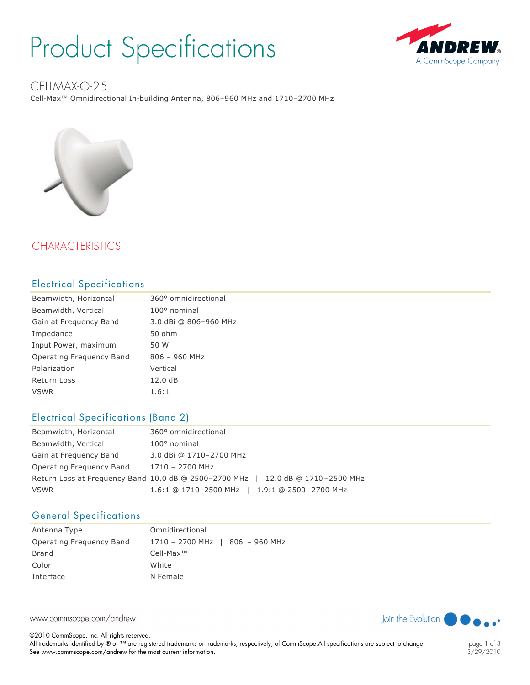## Product Specifications



### CELLMAX-O-25

Cell-Max<sup>™</sup> Omnidirectional In-building Antenna, 806-960 MHz and 1710-2700 MHz



### **CHARACTERISTICS**

#### Electrical Specifications

| Beamwidth, Horizontal    | 360° omnidirectional  |
|--------------------------|-----------------------|
| Beamwidth, Vertical      | $100^{\circ}$ nominal |
| Gain at Frequency Band   | 3.0 dBi @ 806-960 MHz |
| Impedance                | 50 ohm                |
| Input Power, maximum     | 50 W                  |
| Operating Frequency Band | $806 - 960$ MHz       |
| Polarization             | Vertical              |
| <b>Return Loss</b>       | 12.0dB                |
| <b>VSWR</b>              | 1.6:1                 |

#### Electrical Specifications (Band 2)

| Beamwidth, Horizontal                                                           | 360° omnidirectional                          |  |
|---------------------------------------------------------------------------------|-----------------------------------------------|--|
| Beamwidth, Vertical                                                             | $100^{\circ}$ nominal                         |  |
| Gain at Frequency Band                                                          | 3.0 dBi @ 1710-2700 MHz                       |  |
| Operating Frequency Band                                                        | 1710 - 2700 MHz                               |  |
| Return Loss at Frequency Band 10.0 dB @ 2500-2700 MHz   12.0 dB @ 1710-2500 MHz |                                               |  |
| <b>VSWR</b>                                                                     | 1.6:1 @ 1710-2500 MHz   1.9:1 @ 2500-2700 MHz |  |

#### General Specifications

| Antenna Type             | Omnidirectional                 |
|--------------------------|---------------------------------|
| Operating Freguency Band | 1710 - 2700 MHz   806 - 960 MHz |
| Brand                    | $Cell-Max^{TM}$                 |
| Color                    | White                           |
| Interface                | N Female                        |

www.commscope.com/andrew

©2010 CommScope, Inc. All rights reserved. All trademarks identified by ® or ™ are registered trademarks or trademarks, respectively, of CommScope.All specifications are subject to change. See www.commscope.com/andrew for the most current information.



Join the Evolution

page 1 of 3 3/29/2010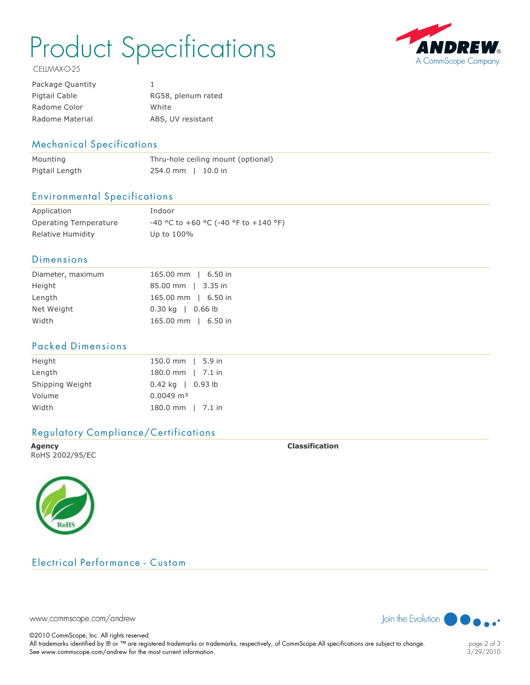# Product Specifications



CELLMAX-O-25

| Package Quantity |                    |
|------------------|--------------------|
| Pigtail Cable    | RG58, plenum rated |
| Radome Color     | White              |
| Radome Material  | ABS, UV resistant  |

#### Mechanical Specifications

| Mounting       | Thru-hole ceiling mount (optional) |
|----------------|------------------------------------|
| Pigtail Length | $254.0$ mm   10.0 in               |

#### Environmental Specifications

| Application           | Indoor                                        |
|-----------------------|-----------------------------------------------|
| Operating Temperature | $-40$ °C to $+60$ °C ( $-40$ °F to $+140$ °F) |
| Relative Humidity     | Up to $100\%$                                 |

#### Dimensions

| Diameter, maximum | 165.00 mm   6.50 in         |
|-------------------|-----------------------------|
| Height            | 85.00 mm   3.35 in          |
| Length            | 165.00 mm   6.50 in         |
| Net Weight        | $0.30 \text{ kg}$   0.66 lb |
| Width             | 165.00 mm   6.50 in         |

#### Packed Dimensions

| Height          | 150.0 mm   5.9 in    |  |
|-----------------|----------------------|--|
| Length          | 180.0 mm   7.1 in    |  |
| Shipping Weight | $0.42$ kg   0.93 lb  |  |
| Volume          | $0.0049 \text{ m}^3$ |  |
| Width           | 180.0 mm   7.1 in    |  |

#### Regulatory Compliance/Certifications

**Agency Classification** RoHS 2002/95/EC



#### Electrical Performance - Custom



©2010 CommScope, Inc. All rights reserved.

All trademarks identified by ® or ™ are registered trademarks or trademarks, respectively, of CommScope.All specifications are subject to change. See www.commscope.com/andrew for the most current information.